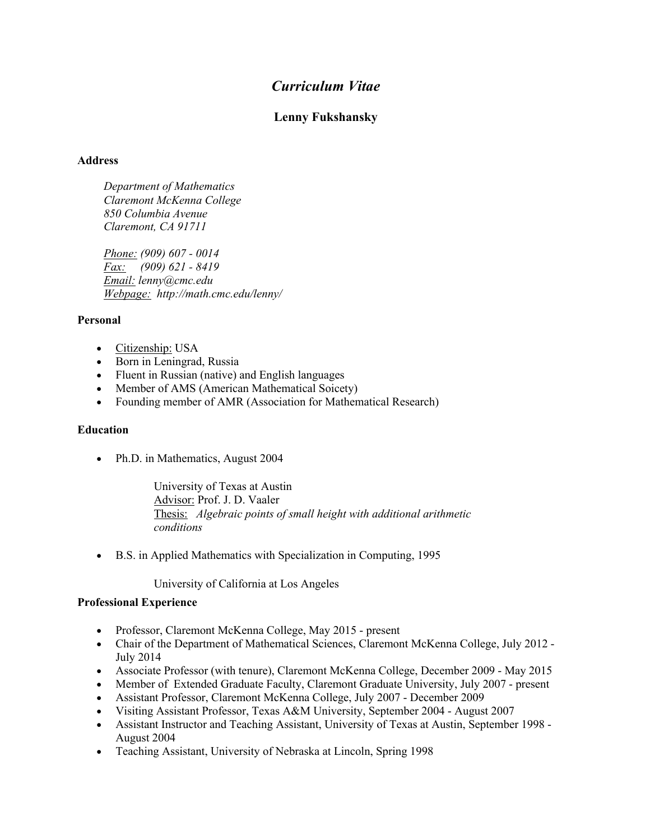# *Curriculum Vitae*

# **Lenny Fukshansky**

# **Address**

 *Department of Mathematics Claremont McKenna College 850 Columbia Avenue Claremont, CA 91711*

 *Phone: (909) 607 - 0014 Fax: (909) 621 - 8419 Email: lenny@cmc.edu Webpage: http://math.cmc.edu/lenny/*

# **Personal**

- Citizenship: USA
- Born in Leningrad, Russia
- Fluent in Russian (native) and English languages
- Member of AMS (American Mathematical Soicety)
- Founding member of AMR (Association for Mathematical Research)

# **Education**

• Ph.D. in Mathematics, August 2004

University of Texas at Austin Advisor: Prof. J. D. Vaaler Thesis: *Algebraic points of small height with additional arithmetic conditions*

• B.S. in Applied Mathematics with Specialization in Computing, 1995

University of California at Los Angeles

#### **Professional Experience**

- Professor, Claremont McKenna College, May 2015 present
- Chair of the Department of Mathematical Sciences, Claremont McKenna College, July 2012 -July 2014
- Associate Professor (with tenure), Claremont McKenna College, December 2009 May 2015
- Member of Extended Graduate Faculty, Claremont Graduate University, July 2007 present
- Assistant Professor, Claremont McKenna College, July 2007 December 2009
- Visiting Assistant Professor, Texas A&M University, September 2004 August 2007
- Assistant Instructor and Teaching Assistant, University of Texas at Austin, September 1998 August 2004
- Teaching Assistant, University of Nebraska at Lincoln, Spring 1998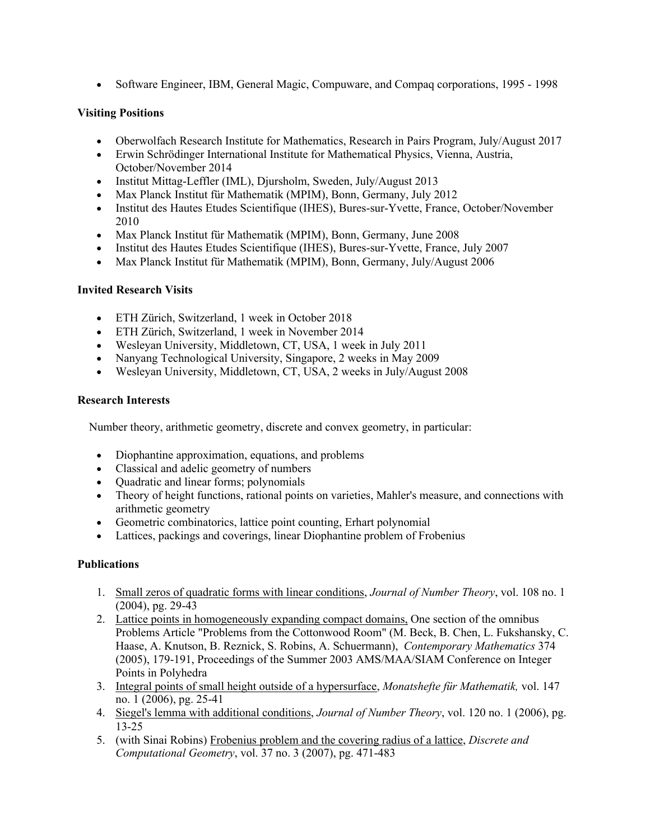• Software Engineer, IBM, General Magic, Compuware, and Compaq corporations, 1995 - 1998

# **Visiting Positions**

- Oberwolfach Research Institute for Mathematics, Research in Pairs Program, July/August 2017
- Erwin Schrödinger International Institute for Mathematical Physics, Vienna, Austria, October/November 2014
- Institut Mittag-Leffler (IML), Djursholm, Sweden, July/August 2013
- Max Planck Institut für Mathematik (MPIM), Bonn, Germany, July 2012
- Institut des Hautes Etudes Scientifique (IHES), Bures-sur-Yvette, France, October/November 2010
- Max Planck Institut für Mathematik (MPIM), Bonn, Germany, June 2008
- Institut des Hautes Etudes Scientifique (IHES), Bures-sur-Yvette, France, July 2007
- Max Planck Institut für Mathematik (MPIM), Bonn, Germany, July/August 2006

# **Invited Research Visits**

- ETH Zürich, Switzerland, 1 week in October 2018
- ETH Zürich, Switzerland, 1 week in November 2014
- Wesleyan University, Middletown, CT, USA, 1 week in July 2011
- Nanyang Technological University, Singapore, 2 weeks in May 2009
- Wesleyan University, Middletown, CT, USA, 2 weeks in July/August 2008

# **Research Interests**

Number theory, arithmetic geometry, discrete and convex geometry, in particular:

- Diophantine approximation, equations, and problems
- Classical and adelic geometry of numbers
- Quadratic and linear forms; polynomials
- Theory of height functions, rational points on varieties, Mahler's measure, and connections with arithmetic geometry
- Geometric combinatorics, lattice point counting, Erhart polynomial
- Lattices, packings and coverings, linear Diophantine problem of Frobenius

# **Publications**

- 1. Small zeros of quadratic forms with linear conditions, *Journal of Number Theory*, vol. 108 no. 1 (2004), pg. 29-43
- 2. Lattice points in homogeneously expanding compact domains, One section of the omnibus Problems Article "Problems from the Cottonwood Room" (M. Beck, B. Chen, L. Fukshansky, C. Haase, A. Knutson, B. Reznick, S. Robins, A. Schuermann), *Contemporary Mathematics* 374 (2005), 179-191, Proceedings of the Summer 2003 AMS/MAA/SIAM Conference on Integer Points in Polyhedra
- 3. Integral points of small height outside of a hypersurface, *Monatshefte für Mathematik,* vol. 147 no. 1 (2006), pg. 25-41
- 4. Siegel's lemma with additional conditions, *Journal of Number Theory*, vol. 120 no. 1 (2006), pg. 13-25
- 5. (with Sinai Robins) Frobenius problem and the covering radius of a lattice, *Discrete and Computational Geometry*, vol. 37 no. 3 (2007), pg. 471-483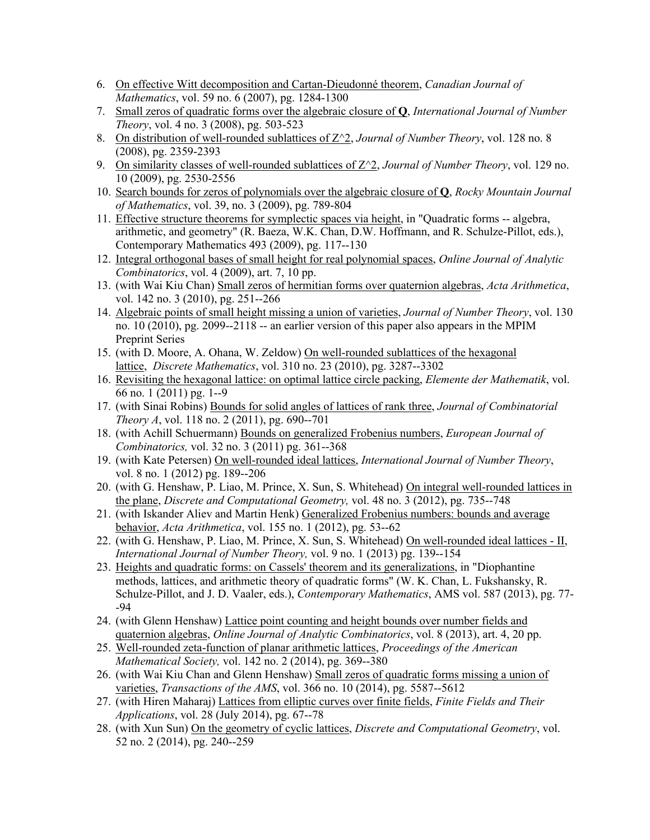- 6. On effective Witt decomposition and Cartan-Dieudonné theorem, *Canadian Journal of Mathematics*, vol. 59 no. 6 (2007), pg. 1284-1300
- 7. Small zeros of quadratic forms over the algebraic closure of **Q**, *International Journal of Number Theory*, vol. 4 no. 3 (2008), pg. 503-523
- 8. On distribution of well-rounded sublattices of Z^2, *Journal of Number Theory*, vol. 128 no. 8 (2008), pg. 2359-2393
- 9. On similarity classes of well-rounded sublattices of Z^2, *Journal of Number Theory*, vol. 129 no. 10 (2009), pg. 2530-2556
- 10. Search bounds for zeros of polynomials over the algebraic closure of **Q**, *Rocky Mountain Journal of Mathematics*, vol. 39, no. 3 (2009), pg. 789-804
- 11. Effective structure theorems for symplectic spaces via height, in "Quadratic forms -- algebra, arithmetic, and geometry" (R. Baeza, W.K. Chan, D.W. Hoffmann, and R. Schulze-Pillot, eds.), Contemporary Mathematics 493 (2009), pg. 117--130
- 12. Integral orthogonal bases of small height for real polynomial spaces, *Online Journal of Analytic Combinatorics*, vol. 4 (2009), art. 7, 10 pp.
- 13. (with Wai Kiu Chan) Small zeros of hermitian forms over quaternion algebras, *Acta Arithmetica*, vol. 142 no. 3 (2010), pg. 251--266
- 14. Algebraic points of small height missing a union of varieties, *Journal of Number Theory*, vol. 130 no. 10 (2010), pg. 2099--2118 -- an earlier version of this paper also appears in the MPIM Preprint Series
- 15. (with D. Moore, A. Ohana, W. Zeldow) On well-rounded sublattices of the hexagonal lattice, *Discrete Mathematics*, vol. 310 no. 23 (2010), pg. 3287--3302
- 16. Revisiting the hexagonal lattice: on optimal lattice circle packing, *Elemente der Mathematik*, vol. 66 no. 1 (2011) pg. 1--9
- 17. (with Sinai Robins) Bounds for solid angles of lattices of rank three, *Journal of Combinatorial Theory A*, vol. 118 no. 2 (2011), pg. 690--701
- 18. (with Achill Schuermann) Bounds on generalized Frobenius numbers, *European Journal of Combinatorics,* vol. 32 no. 3 (2011) pg. 361--368
- 19. (with Kate Petersen) On well-rounded ideal lattices, *International Journal of Number Theory*, vol. 8 no. 1 (2012) pg. 189--206
- 20. (with G. Henshaw, P. Liao, M. Prince, X. Sun, S. Whitehead) On integral well-rounded lattices in the plane, *Discrete and Computational Geometry,* vol. 48 no. 3 (2012), pg. 735--748
- 21. (with Iskander Aliev and Martin Henk) Generalized Frobenius numbers: bounds and average behavior, *Acta Arithmetica*, vol. 155 no. 1 (2012), pg. 53--62
- 22. (with G. Henshaw, P. Liao, M. Prince, X. Sun, S. Whitehead) On well-rounded ideal lattices II, *International Journal of Number Theory,* vol. 9 no. 1 (2013) pg. 139--154
- 23. Heights and quadratic forms: on Cassels' theorem and its generalizations, in "Diophantine methods, lattices, and arithmetic theory of quadratic forms" (W. K. Chan, L. Fukshansky, R. Schulze-Pillot, and J. D. Vaaler, eds.), *Contemporary Mathematics*, AMS vol. 587 (2013), pg. 77- -94
- 24. (with Glenn Henshaw) Lattice point counting and height bounds over number fields and quaternion algebras, *Online Journal of Analytic Combinatorics*, vol. 8 (2013), art. 4, 20 pp.
- 25. Well-rounded zeta-function of planar arithmetic lattices, *Proceedings of the American Mathematical Society,* vol. 142 no. 2 (2014), pg. 369--380
- 26. (with Wai Kiu Chan and Glenn Henshaw) Small zeros of quadratic forms missing a union of varieties, *Transactions of the AMS*, vol. 366 no. 10 (2014), pg. 5587--5612
- 27. (with Hiren Maharaj) Lattices from elliptic curves over finite fields, *Finite Fields and Their Applications*, vol. 28 (July 2014), pg. 67--78
- 28. (with Xun Sun) On the geometry of cyclic lattices, *Discrete and Computational Geometry*, vol. 52 no. 2 (2014), pg. 240--259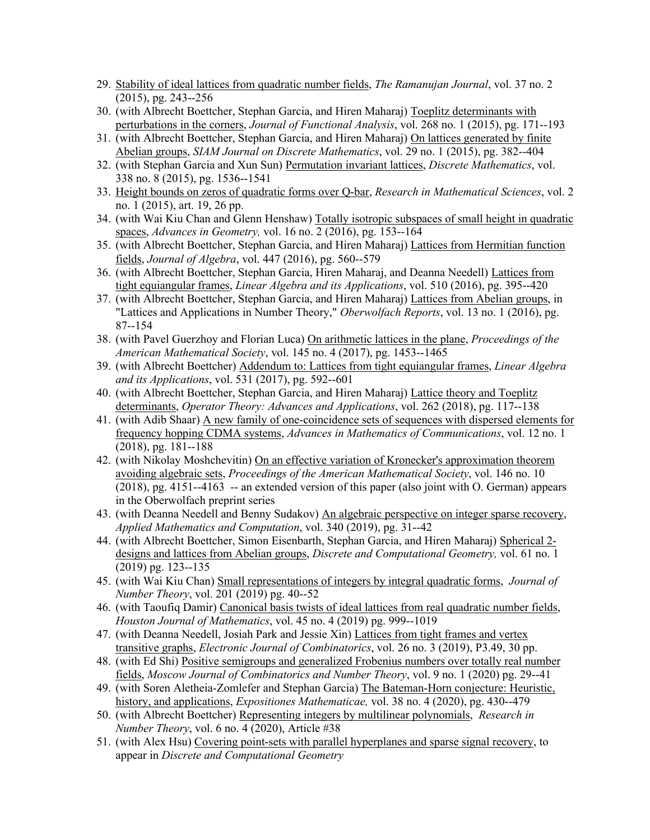- 29. Stability of ideal lattices from quadratic number fields, *The Ramanujan Journal*, vol. 37 no. 2 (2015), pg. 243--256
- 30. (with Albrecht Boettcher, Stephan Garcia, and Hiren Maharaj) Toeplitz determinants with perturbations in the corners, *Journal of Functional Analysis*, vol. 268 no. 1 (2015), pg. 171--193
- 31. (with Albrecht Boettcher, Stephan Garcia, and Hiren Maharaj) On lattices generated by finite Abelian groups, *SIAM Journal on Discrete Mathematics*, vol. 29 no. 1 (2015), pg. 382--404
- 32. (with Stephan Garcia and Xun Sun) Permutation invariant lattices, *Discrete Mathematics*, vol. 338 no. 8 (2015), pg. 1536--1541
- 33. Height bounds on zeros of quadratic forms over Q-bar, *Research in Mathematical Sciences*, vol. 2 no. 1 (2015), art. 19, 26 pp.
- 34. (with Wai Kiu Chan and Glenn Henshaw) Totally isotropic subspaces of small height in quadratic spaces, *Advances in Geometry,* vol. 16 no. 2 (2016), pg. 153--164
- 35. (with Albrecht Boettcher, Stephan Garcia, and Hiren Maharaj) Lattices from Hermitian function fields, *Journal of Algebra*, vol. 447 (2016), pg. 560--579
- 36. (with Albrecht Boettcher, Stephan Garcia, Hiren Maharaj, and Deanna Needell) Lattices from tight equiangular frames, *Linear Algebra and its Applications*, vol. 510 (2016), pg. 395--420
- 37. (with Albrecht Boettcher, Stephan Garcia, and Hiren Maharaj) Lattices from Abelian groups, in "Lattices and Applications in Number Theory," *Oberwolfach Reports*, vol. 13 no. 1 (2016), pg. 87--154
- 38. (with Pavel Guerzhoy and Florian Luca) On arithmetic lattices in the plane, *Proceedings of the American Mathematical Society*, vol. 145 no. 4 (2017), pg. 1453--1465
- 39. (with Albrecht Boettcher) Addendum to: Lattices from tight equiangular frames, *Linear Algebra and its Applications*, vol. 531 (2017), pg. 592--601
- 40. (with Albrecht Boettcher, Stephan Garcia, and Hiren Maharaj) Lattice theory and Toeplitz determinants, *Operator Theory: Advances and Applications*, vol. 262 (2018), pg. 117--138
- 41. (with Adib Shaar) A new family of one-coincidence sets of sequences with dispersed elements for frequency hopping CDMA systems, *Advances in Mathematics of Communications*, vol. 12 no. 1 (2018), pg. 181--188
- 42. (with Nikolay Moshchevitin) On an effective variation of Kronecker's approximation theorem avoiding algebraic sets, *Proceedings of the American Mathematical Society*, vol. 146 no. 10 (2018), pg. 4151--4163 -- an extended version of this paper (also joint with O. German) appears in the Oberwolfach preprint series
- 43. (with Deanna Needell and Benny Sudakov) An algebraic perspective on integer sparse recovery, *Applied Mathematics and Computation*, vol. 340 (2019), pg. 31--42
- 44. (with Albrecht Boettcher, Simon Eisenbarth, Stephan Garcia, and Hiren Maharaj) Spherical 2 designs and lattices from Abelian groups, *Discrete and Computational Geometry,* vol. 61 no. 1 (2019) pg. 123--135
- 45. (with Wai Kiu Chan) Small representations of integers by integral quadratic forms, *Journal of Number Theory*, vol. 201 (2019) pg. 40--52
- 46. (with Taoufiq Damir) Canonical basis twists of ideal lattices from real quadratic number fields, *Houston Journal of Mathematics*, vol. 45 no. 4 (2019) pg. 999--1019
- 47. (with Deanna Needell, Josiah Park and Jessie Xin) Lattices from tight frames and vertex transitive graphs, *Electronic Journal of Combinatorics*, vol. 26 no. 3 (2019), P3.49, 30 pp.
- 48. (with Ed Shi) Positive semigroups and generalized Frobenius numbers over totally real number fields, *Moscow Journal of Combinatorics and Number Theory*, vol. 9 no. 1 (2020) pg. 29--41
- 49. (with Soren Aletheia-Zomlefer and Stephan Garcia) The Bateman-Horn conjecture: Heuristic, history, and applications, *Expositiones Mathematicae,* vol. 38 no. 4 (2020), pg. 430--479
- 50. (with Albrecht Boettcher) Representing integers by multilinear polynomials, *Research in Number Theory*, vol. 6 no. 4 (2020), Article #38
- 51. (with Alex Hsu) Covering point-sets with parallel hyperplanes and sparse signal recovery, to appear in *Discrete and Computational Geometry*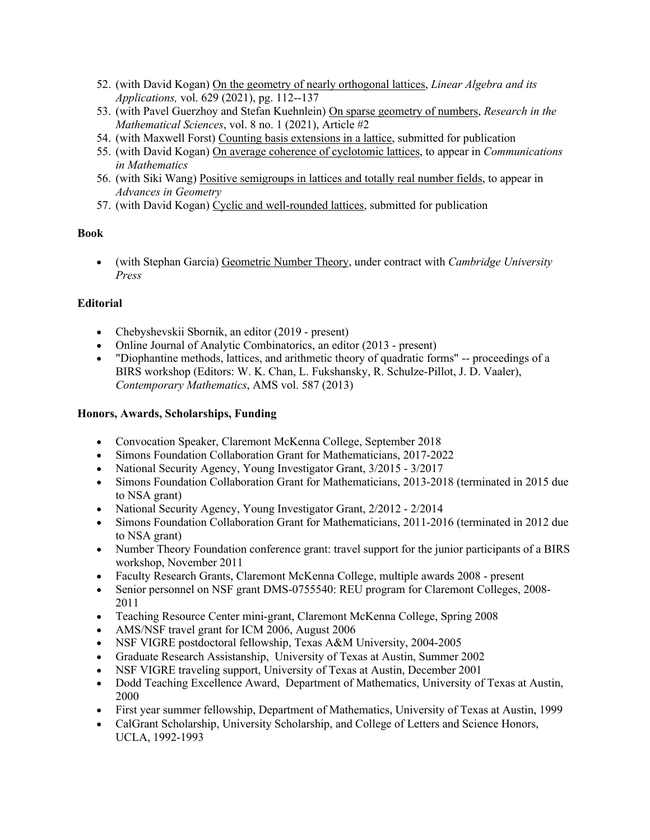- 52. (with David Kogan) On the geometry of nearly orthogonal lattices, *Linear Algebra and its Applications,* vol. 629 (2021), pg. 112--137
- 53. (with Pavel Guerzhoy and Stefan Kuehnlein) On sparse geometry of numbers, *Research in the Mathematical Sciences*, vol. 8 no. 1 (2021), Article #2
- 54. (with Maxwell Forst) Counting basis extensions in a lattice, submitted for publication
- 55. (with David Kogan) On average coherence of cyclotomic lattices, to appear in *Communications in Mathematics*
- 56. (with Siki Wang) Positive semigroups in lattices and totally real number fields, to appear in *Advances in Geometry*
- 57. (with David Kogan) Cyclic and well-rounded lattices, submitted for publication

# **Book**

• (with Stephan Garcia) Geometric Number Theory, under contract with *Cambridge University Press*

# **Editorial**

- Chebyshevskii Sbornik, an editor (2019 present)
- Online Journal of Analytic Combinatorics, an editor (2013 present)
- "Diophantine methods, lattices, and arithmetic theory of quadratic forms" -- proceedings of a BIRS workshop (Editors: W. K. Chan, L. Fukshansky, R. Schulze-Pillot, J. D. Vaaler), *Contemporary Mathematics*, AMS vol. 587 (2013)

# **Honors, Awards, Scholarships, Funding**

- Convocation Speaker, Claremont McKenna College, September 2018
- Simons Foundation Collaboration Grant for Mathematicians, 2017-2022
- National Security Agency, Young Investigator Grant,  $3/2015 3/2017$
- Simons Foundation Collaboration Grant for Mathematicians, 2013-2018 (terminated in 2015 due to NSA grant)
- National Security Agency, Young Investigator Grant, 2/2012 2/2014
- Simons Foundation Collaboration Grant for Mathematicians, 2011-2016 (terminated in 2012 due to NSA grant)
- Number Theory Foundation conference grant: travel support for the junior participants of a BIRS workshop, November 2011
- Faculty Research Grants, Claremont McKenna College, multiple awards 2008 present
- Senior personnel on NSF grant DMS-0755540: REU program for Claremont Colleges, 2008- 2011
- Teaching Resource Center mini-grant, Claremont McKenna College, Spring 2008
- AMS/NSF travel grant for ICM 2006, August 2006
- NSF VIGRE postdoctoral fellowship, Texas A&M University, 2004-2005
- Graduate Research Assistanship, University of Texas at Austin, Summer 2002
- NSF VIGRE traveling support, University of Texas at Austin, December 2001
- Dodd Teaching Excellence Award, Department of Mathematics, University of Texas at Austin, 2000
- First year summer fellowship, Department of Mathematics, University of Texas at Austin, 1999
- CalGrant Scholarship, University Scholarship, and College of Letters and Science Honors, UCLA, 1992-1993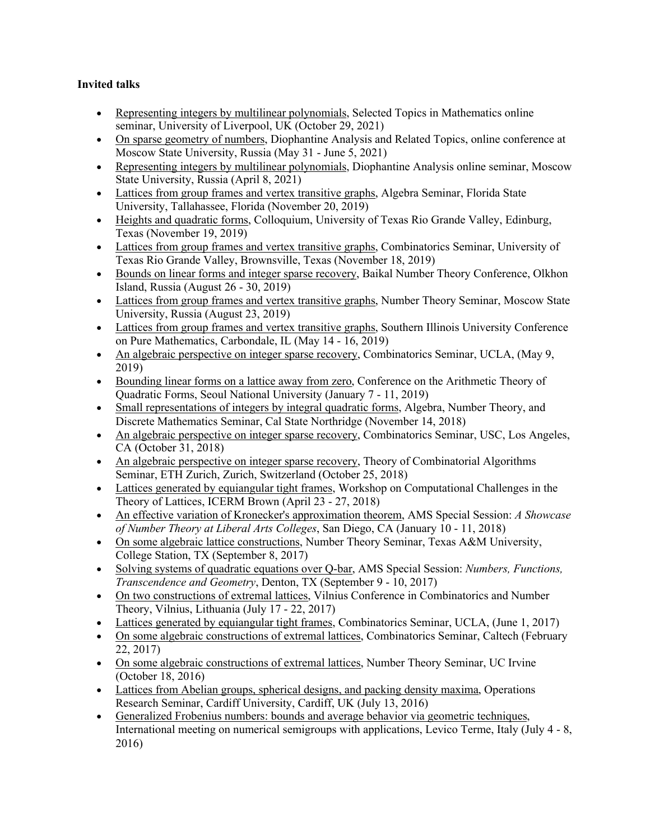# **Invited talks**

- Representing integers by multilinear polynomials, Selected Topics in Mathematics online seminar, University of Liverpool, UK (October 29, 2021)
- On sparse geometry of numbers, Diophantine Analysis and Related Topics, online conference at Moscow State University, Russia (May 31 - June 5, 2021)
- Representing integers by multilinear polynomials, Diophantine Analysis online seminar, Moscow State University, Russia (April 8, 2021)
- Lattices from group frames and vertex transitive graphs, Algebra Seminar, Florida State University, Tallahassee, Florida (November 20, 2019)
- Heights and quadratic forms, Colloquium, University of Texas Rio Grande Valley, Edinburg, Texas (November 19, 2019)
- Lattices from group frames and vertex transitive graphs, Combinatorics Seminar, University of Texas Rio Grande Valley, Brownsville, Texas (November 18, 2019)
- Bounds on linear forms and integer sparse recovery, Baikal Number Theory Conference, Olkhon Island, Russia (August 26 - 30, 2019)
- Lattices from group frames and vertex transitive graphs, Number Theory Seminar, Moscow State University, Russia (August 23, 2019)
- Lattices from group frames and vertex transitive graphs, Southern Illinois University Conference on Pure Mathematics, Carbondale, IL (May 14 - 16, 2019)
- An algebraic perspective on integer sparse recovery, Combinatorics Seminar, UCLA, (May 9, 2019)
- Bounding linear forms on a lattice away from zero, Conference on the Arithmetic Theory of Quadratic Forms, Seoul National University (January 7 - 11, 2019)
- Small representations of integers by integral quadratic forms, Algebra, Number Theory, and Discrete Mathematics Seminar, Cal State Northridge (November 14, 2018)
- An algebraic perspective on integer sparse recovery, Combinatorics Seminar, USC, Los Angeles, CA (October 31, 2018)
- An algebraic perspective on integer sparse recovery, Theory of Combinatorial Algorithms Seminar, ETH Zurich, Zurich, Switzerland (October 25, 2018)
- Lattices generated by equiangular tight frames, Workshop on Computational Challenges in the Theory of Lattices, ICERM Brown (April 23 - 27, 2018)
- An effective variation of Kronecker's approximation theorem, AMS Special Session: *A Showcase of Number Theory at Liberal Arts Colleges*, San Diego, CA (January 10 - 11, 2018)
- On some algebraic lattice constructions, Number Theory Seminar, Texas A&M University, College Station, TX (September 8, 2017)
- Solving systems of quadratic equations over Q-bar, AMS Special Session: *Numbers, Functions, Transcendence and Geometry*, Denton, TX (September 9 - 10, 2017)
- On two constructions of extremal lattices, Vilnius Conference in Combinatorics and Number Theory, Vilnius, Lithuania (July 17 - 22, 2017)
- Lattices generated by equiangular tight frames, Combinatorics Seminar, UCLA, (June 1, 2017)
- On some algebraic constructions of extremal lattices, Combinatorics Seminar, Caltech (February 22, 2017)
- On some algebraic constructions of extremal lattices, Number Theory Seminar, UC Irvine (October 18, 2016)
- Lattices from Abelian groups, spherical designs, and packing density maxima, Operations Research Seminar, Cardiff University, Cardiff, UK (July 13, 2016)
- Generalized Frobenius numbers: bounds and average behavior via geometric techniques, International meeting on numerical semigroups with applications, Levico Terme, Italy (July 4 - 8, 2016)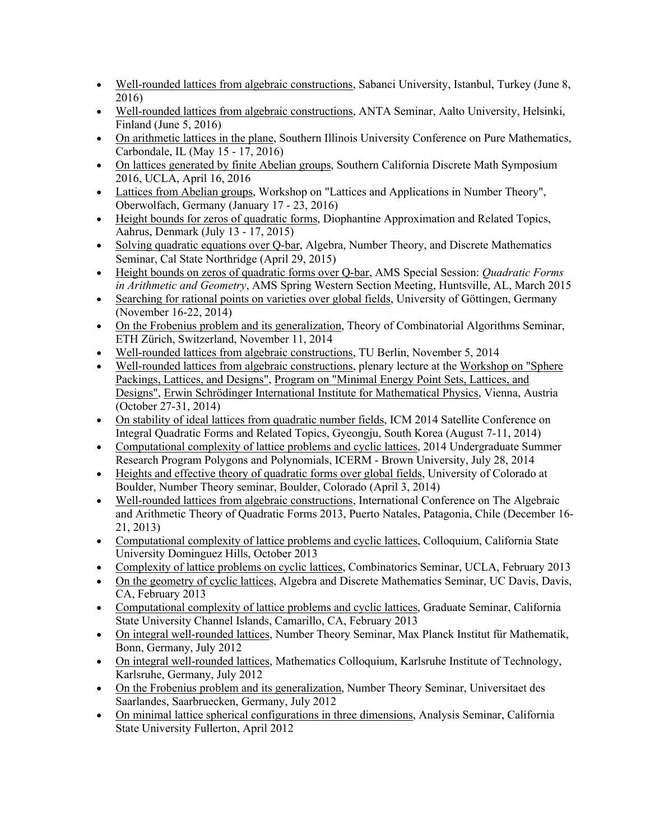- Well-rounded lattices from algebraic constructions, Sabanci University, Istanbul, Turkey (June 8, 2016)
- Well-rounded lattices from algebraic constructions, ANTA Seminar, Aalto University, Helsinki, Finland (June 5, 2016)
- On arithmetic lattices in the plane, Southern Illinois University Conference on Pure Mathematics, Carbondale, IL (May 15 - 17, 2016)
- On lattices generated by finite Abelian groups, Southern California Discrete Math Symposium 2016, UCLA, April 16, 2016
- Lattices from Abelian groups, Workshop on "Lattices and Applications in Number Theory", Oberwolfach, Germany (January 17 - 23, 2016)
- Height bounds for zeros of quadratic forms, Diophantine Approximation and Related Topics, Aahrus, Denmark (July 13 - 17, 2015)
- Solving quadratic equations over Q-bar, Algebra, Number Theory, and Discrete Mathematics Seminar, Cal State Northridge (April 29, 2015)
- Height bounds on zeros of quadratic forms over Q-bar, AMS Special Session: *Quadratic Forms in Arithmetic and Geometry*, AMS Spring Western Section Meeting, Huntsville, AL, March 2015
- Searching for rational points on varieties over global fields, University of Göttingen, Germany (November 16-22, 2014)
- On the Frobenius problem and its generalization, Theory of Combinatorial Algorithms Seminar, ETH Zürich, Switzerland, November 11, 2014
- Well-rounded lattices from algebraic constructions, TU Berlin, November 5, 2014
- Well-rounded lattices from algebraic constructions, plenary lecture at the Workshop on "Sphere Packings, Lattices, and Designs", Program on "Minimal Energy Point Sets, Lattices, and Designs", Erwin Schrödinger International Institute for Mathematical Physics, Vienna, Austria (October 27-31, 2014)
- On stability of ideal lattices from quadratic number fields, ICM 2014 Satellite Conference on Integral Quadratic Forms and Related Topics, Gyeongju, South Korea (August 7-11, 2014)
- Computational complexity of lattice problems and cyclic lattices, 2014 Undergraduate Summer Research Program Polygons and Polynomials, ICERM - Brown University, July 28, 2014
- Heights and effective theory of quadratic forms over global fields, University of Colorado at Boulder, Number Theory seminar, Boulder, Colorado (April 3, 2014)
- Well-rounded lattices from algebraic constructions, International Conference on The Algebraic and Arithmetic Theory of Quadratic Forms 2013, Puerto Natales, Patagonia, Chile (December 16- 21, 2013)
- Computational complexity of lattice problems and cyclic lattices, Colloquium, California State University Dominguez Hills, October 2013
- Complexity of lattice problems on cyclic lattices, Combinatorics Seminar, UCLA, February 2013
- On the geometry of cyclic lattices, Algebra and Discrete Mathematics Seminar, UC Davis, Davis, CA, February 2013
- Computational complexity of lattice problems and cyclic lattices, Graduate Seminar, California State University Channel Islands, Camarillo, CA, February 2013
- On integral well-rounded lattices, Number Theory Seminar, Max Planck Institut für Mathematik, Bonn, Germany, July 2012
- On integral well-rounded lattices, Mathematics Colloquium, Karlsruhe Institute of Technology, Karlsruhe, Germany, July 2012
- On the Frobenius problem and its generalization, Number Theory Seminar, Universitaet des Saarlandes, Saarbruecken, Germany, July 2012
- On minimal lattice spherical configurations in three dimensions, Analysis Seminar, California State University Fullerton, April 2012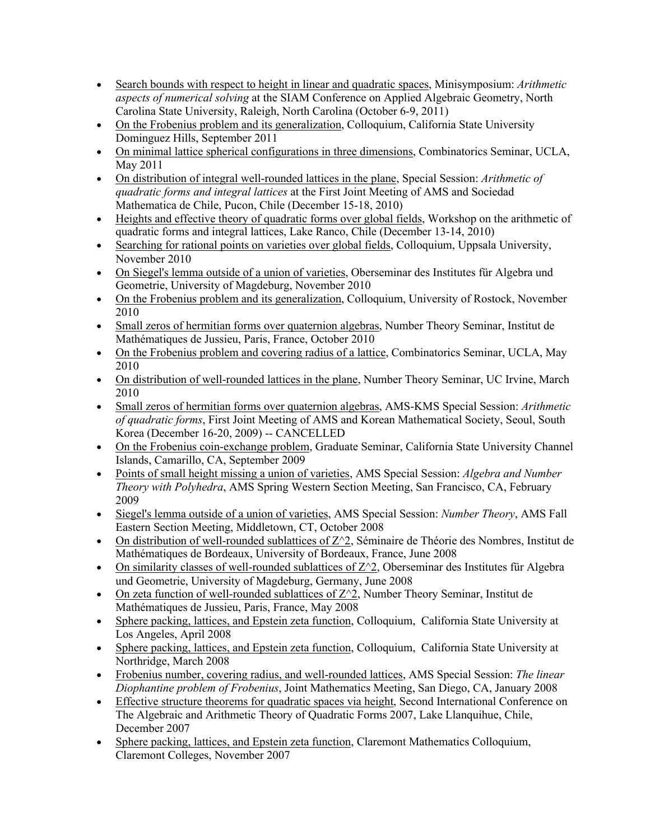- Search bounds with respect to height in linear and quadratic spaces, Minisymposium: *Arithmetic aspects of numerical solving* at the SIAM Conference on Applied Algebraic Geometry, North Carolina State University, Raleigh, North Carolina (October 6-9, 2011)
- On the Frobenius problem and its generalization, Colloquium, California State University Dominguez Hills, September 2011
- On minimal lattice spherical configurations in three dimensions, Combinatorics Seminar, UCLA, May 2011
- On distribution of integral well-rounded lattices in the plane, Special Session: *Arithmetic of quadratic forms and integral lattices* at the First Joint Meeting of AMS and Sociedad Mathematica de Chile, Pucon, Chile (December 15-18, 2010)
- Heights and effective theory of quadratic forms over global fields, Workshop on the arithmetic of quadratic forms and integral lattices, Lake Ranco, Chile (December 13-14, 2010)
- Searching for rational points on varieties over global fields, Colloquium, Uppsala University, November 2010
- On Siegel's lemma outside of a union of varieties, Oberseminar des Institutes für Algebra und Geometrie, University of Magdeburg, November 2010
- On the Frobenius problem and its generalization, Colloquium, University of Rostock, November 2010
- Small zeros of hermitian forms over quaternion algebras, Number Theory Seminar, Institut de Mathématiques de Jussieu, Paris, France, October 2010
- On the Frobenius problem and covering radius of a lattice, Combinatorics Seminar, UCLA, May 2010
- On distribution of well-rounded lattices in the plane, Number Theory Seminar, UC Irvine, March 2010
- Small zeros of hermitian forms over quaternion algebras, AMS-KMS Special Session: *Arithmetic of quadratic forms*, First Joint Meeting of AMS and Korean Mathematical Society, Seoul, South Korea (December 16-20, 2009) -- CANCELLED
- On the Frobenius coin-exchange problem, Graduate Seminar, California State University Channel Islands, Camarillo, CA, September 2009
- Points of small height missing a union of varieties, AMS Special Session: *Algebra and Number Theory with Polyhedra*, AMS Spring Western Section Meeting, San Francisco, CA, February 2009
- Siegel's lemma outside of a union of varieties, AMS Special Session: *Number Theory*, AMS Fall Eastern Section Meeting, Middletown, CT, October 2008
- On distribution of well-rounded sublattices of  $Z^2$ , Séminaire de Théorie des Nombres, Institut de Mathématiques de Bordeaux, University of Bordeaux, France, June 2008
- On similarity classes of well-rounded sublattices of  $Z^2$ , Oberseminar des Institutes für Algebra und Geometrie, University of Magdeburg, Germany, June 2008
- On zeta function of well-rounded sublattices of  $Z^2$ , Number Theory Seminar, Institut de Mathématiques de Jussieu, Paris, France, May 2008
- Sphere packing, lattices, and Epstein zeta function, Colloquium, California State University at Los Angeles, April 2008
- Sphere packing, lattices, and Epstein zeta function, Colloquium, California State University at Northridge, March 2008
- Frobenius number, covering radius, and well-rounded lattices, AMS Special Session: *The linear Diophantine problem of Frobenius*, Joint Mathematics Meeting, San Diego, CA, January 2008
- Effective structure theorems for quadratic spaces via height, Second International Conference on The Algebraic and Arithmetic Theory of Quadratic Forms 2007, Lake Llanquihue, Chile, December 2007
- Sphere packing, lattices, and Epstein zeta function, Claremont Mathematics Colloquium, Claremont Colleges, November 2007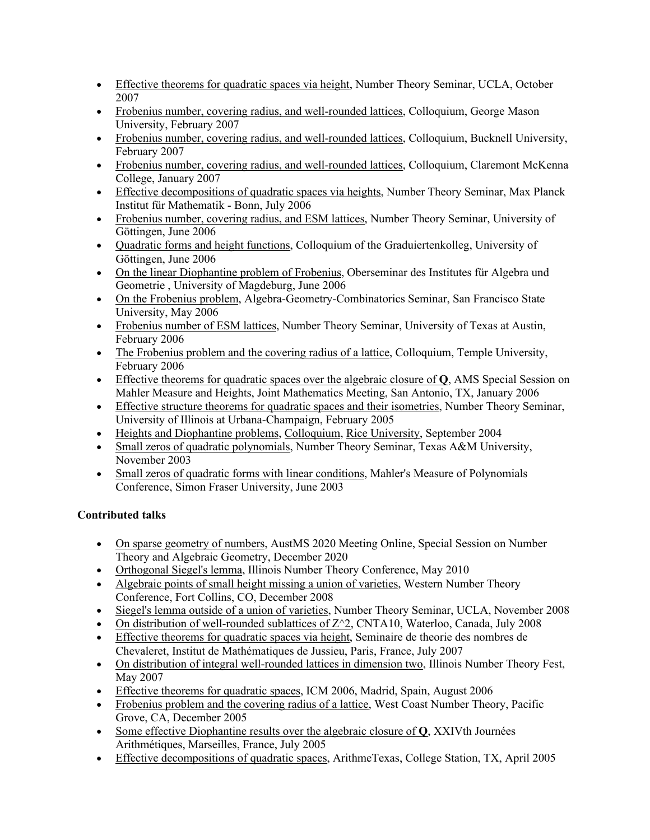- Effective theorems for quadratic spaces via height, Number Theory Seminar, UCLA, October 2007
- Frobenius number, covering radius, and well-rounded lattices, Colloquium, George Mason University, February 2007
- Frobenius number, covering radius, and well-rounded lattices, Colloquium, Bucknell University, February 2007
- Frobenius number, covering radius, and well-rounded lattices, Colloquium, Claremont McKenna College, January 2007
- Effective decompositions of quadratic spaces via heights, Number Theory Seminar, Max Planck Institut für Mathematik - Bonn, July 2006
- Frobenius number, covering radius, and ESM lattices, Number Theory Seminar, University of Göttingen, June 2006
- Quadratic forms and height functions, Colloquium of the Graduiertenkolleg, University of Göttingen, June 2006
- On the linear Diophantine problem of Frobenius, Oberseminar des Institutes für Algebra und Geometrie , University of Magdeburg, June 2006
- On the Frobenius problem, Algebra-Geometry-Combinatorics Seminar, San Francisco State University, May 2006
- Frobenius number of ESM lattices, Number Theory Seminar, University of Texas at Austin, February 2006
- The Frobenius problem and the covering radius of a lattice, Colloquium, Temple University, February 2006
- Effective theorems for quadratic spaces over the algebraic closure of **Q**, AMS Special Session on Mahler Measure and Heights, Joint Mathematics Meeting, San Antonio, TX, January 2006
- Effective structure theorems for quadratic spaces and their isometries, Number Theory Seminar, University of Illinois at Urbana-Champaign, February 2005
- Heights and Diophantine problems, Colloquium, Rice University, September 2004
- Small zeros of quadratic polynomials, Number Theory Seminar, Texas A&M University, November 2003
- Small zeros of quadratic forms with linear conditions, Mahler's Measure of Polynomials Conference, Simon Fraser University, June 2003

# **Contributed talks**

- On sparse geometry of numbers, AustMS 2020 Meeting Online, Special Session on Number Theory and Algebraic Geometry, December 2020
- Orthogonal Siegel's lemma, Illinois Number Theory Conference, May 2010
- Algebraic points of small height missing a union of varieties, Western Number Theory Conference, Fort Collins, CO, December 2008
- Siegel's lemma outside of a union of varieties, Number Theory Seminar, UCLA, November 2008
- On distribution of well-rounded sublattices of  $Z^2$ , CNTA10, Waterloo, Canada, July 2008
- Effective theorems for quadratic spaces via height, Seminaire de theorie des nombres de Chevaleret, Institut de Mathématiques de Jussieu, Paris, France, July 2007
- On distribution of integral well-rounded lattices in dimension two, Illinois Number Theory Fest, May 2007
- Effective theorems for quadratic spaces, ICM 2006, Madrid, Spain, August 2006
- Frobenius problem and the covering radius of a lattice, West Coast Number Theory, Pacific Grove, CA, December 2005
- Some effective Diophantine results over the algebraic closure of **Q**, XXIVth Journées Arithmétiques, Marseilles, France, July 2005
- Effective decompositions of quadratic spaces, ArithmeTexas, College Station, TX, April 2005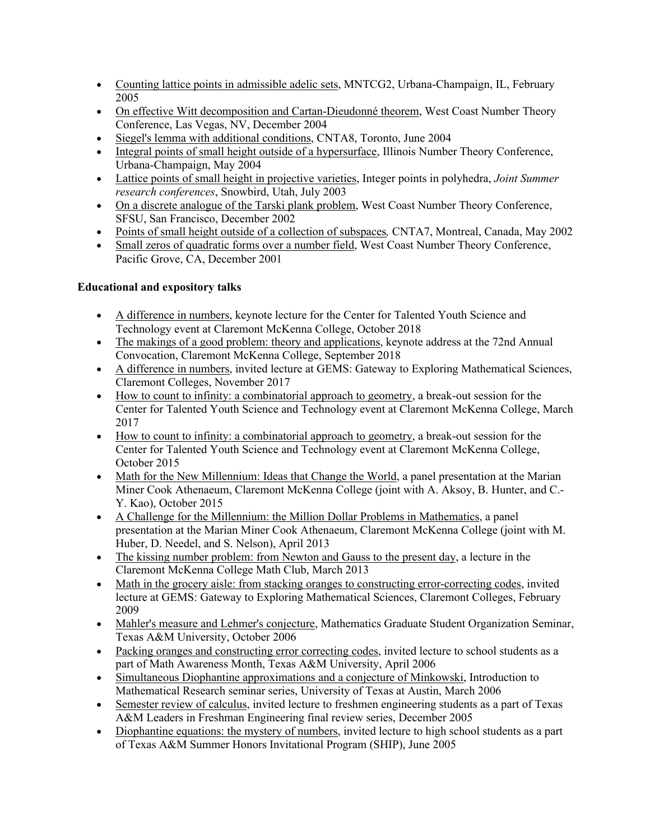- Counting lattice points in admissible adelic sets, MNTCG2, Urbana-Champaign, IL, February 2005
- On effective Witt decomposition and Cartan-Dieudonné theorem, West Coast Number Theory Conference, Las Vegas, NV, December 2004
- Siegel's lemma with additional conditions, CNTA8, Toronto, June 2004
- Integral points of small height outside of a hypersurface, Illinois Number Theory Conference, Urbana-Champaign, May 2004
- Lattice points of small height in projective varieties, Integer points in polyhedra, *Joint Summer research conferences*, Snowbird, Utah, July 2003
- On a discrete analogue of the Tarski plank problem, West Coast Number Theory Conference, SFSU, San Francisco, December 2002
- Points of small height outside of a collection of subspaces*,* CNTA7, Montreal, Canada, May 2002
- Small zeros of quadratic forms over a number field, West Coast Number Theory Conference, Pacific Grove, CA, December 2001

# **Educational and expository talks**

- A difference in numbers, keynote lecture for the Center for Talented Youth Science and Technology event at Claremont McKenna College, October 2018
- The makings of a good problem: theory and applications, keynote address at the 72nd Annual Convocation, Claremont McKenna College, September 2018
- A difference in numbers, invited lecture at GEMS: Gateway to Exploring Mathematical Sciences, Claremont Colleges, November 2017
- How to count to infinity: a combinatorial approach to geometry, a break-out session for the Center for Talented Youth Science and Technology event at Claremont McKenna College, March 2017
- How to count to infinity: a combinatorial approach to geometry, a break-out session for the Center for Talented Youth Science and Technology event at Claremont McKenna College, October 2015
- Math for the New Millennium: Ideas that Change the World, a panel presentation at the Marian Miner Cook Athenaeum, Claremont McKenna College (joint with A. Aksoy, B. Hunter, and C.- Y. Kao), October 2015
- A Challenge for the Millennium: the Million Dollar Problems in Mathematics, a panel presentation at the Marian Miner Cook Athenaeum, Claremont McKenna College (joint with M. Huber, D. Needel, and S. Nelson), April 2013
- The kissing number problem: from Newton and Gauss to the present day, a lecture in the Claremont McKenna College Math Club, March 2013
- Math in the grocery aisle: from stacking oranges to constructing error-correcting codes, invited lecture at GEMS: Gateway to Exploring Mathematical Sciences, Claremont Colleges, February 2009
- Mahler's measure and Lehmer's conjecture, Mathematics Graduate Student Organization Seminar, Texas A&M University, October 2006
- Packing oranges and constructing error correcting codes, invited lecture to school students as a part of Math Awareness Month, Texas A&M University, April 2006
- Simultaneous Diophantine approximations and a conjecture of Minkowski, Introduction to Mathematical Research seminar series, University of Texas at Austin, March 2006
- Semester review of calculus, invited lecture to freshmen engineering students as a part of Texas A&M Leaders in Freshman Engineering final review series, December 2005
- Diophantine equations: the mystery of numbers, invited lecture to high school students as a part of Texas A&M Summer Honors Invitational Program (SHIP), June 2005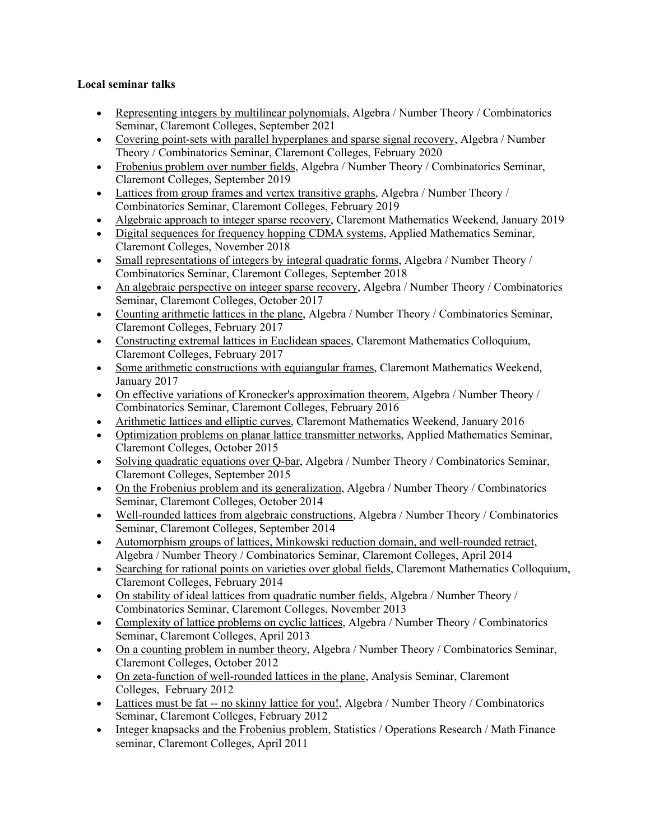# **Local seminar talks**

- Representing integers by multilinear polynomials, Algebra / Number Theory / Combinatorics Seminar, Claremont Colleges, September 2021
- Covering point-sets with parallel hyperplanes and sparse signal recovery, Algebra / Number Theory / Combinatorics Seminar, Claremont Colleges, February 2020
- Frobenius problem over number fields, Algebra / Number Theory / Combinatorics Seminar, Claremont Colleges, September 2019
- Lattices from group frames and vertex transitive graphs, Algebra / Number Theory / Combinatorics Seminar, Claremont Colleges, February 2019
- Algebraic approach to integer sparse recovery, Claremont Mathematics Weekend, January 2019
- Digital sequences for frequency hopping CDMA systems, Applied Mathematics Seminar, Claremont Colleges, November 2018
- Small representations of integers by integral quadratic forms, Algebra / Number Theory / Combinatorics Seminar, Claremont Colleges, September 2018
- An algebraic perspective on integer sparse recovery, Algebra / Number Theory / Combinatorics Seminar, Claremont Colleges, October 2017
- Counting arithmetic lattices in the plane, Algebra / Number Theory / Combinatorics Seminar, Claremont Colleges, February 2017
- Constructing extremal lattices in Euclidean spaces, Claremont Mathematics Colloquium, Claremont Colleges, February 2017
- Some arithmetic constructions with equiangular frames, Claremont Mathematics Weekend, January 2017
- On effective variations of Kronecker's approximation theorem, Algebra / Number Theory / Combinatorics Seminar, Claremont Colleges, February 2016
- Arithmetic lattices and elliptic curves, Claremont Mathematics Weekend, January 2016
- Optimization problems on planar lattice transmitter networks, Applied Mathematics Seminar, Claremont Colleges, October 2015
- Solving quadratic equations over Q-bar, Algebra / Number Theory / Combinatorics Seminar, Claremont Colleges, September 2015
- On the Frobenius problem and its generalization, Algebra / Number Theory / Combinatorics Seminar, Claremont Colleges, October 2014
- Well-rounded lattices from algebraic constructions, Algebra / Number Theory / Combinatorics Seminar, Claremont Colleges, September 2014
- Automorphism groups of lattices, Minkowski reduction domain, and well-rounded retract, Algebra / Number Theory / Combinatorics Seminar, Claremont Colleges, April 2014
- Searching for rational points on varieties over global fields, Claremont Mathematics Colloquium, Claremont Colleges, February 2014
- On stability of ideal lattices from quadratic number fields, Algebra / Number Theory / Combinatorics Seminar, Claremont Colleges, November 2013
- Complexity of lattice problems on cyclic lattices, Algebra / Number Theory / Combinatorics Seminar, Claremont Colleges, April 2013
- On a counting problem in number theory, Algebra / Number Theory / Combinatorics Seminar, Claremont Colleges, October 2012
- On zeta-function of well-rounded lattices in the plane, Analysis Seminar, Claremont Colleges, February 2012
- Lattices must be fat -- no skinny lattice for you!, Algebra / Number Theory / Combinatorics Seminar, Claremont Colleges, February 2012
- Integer knapsacks and the Frobenius problem, Statistics / Operations Research / Math Finance seminar, Claremont Colleges, April 2011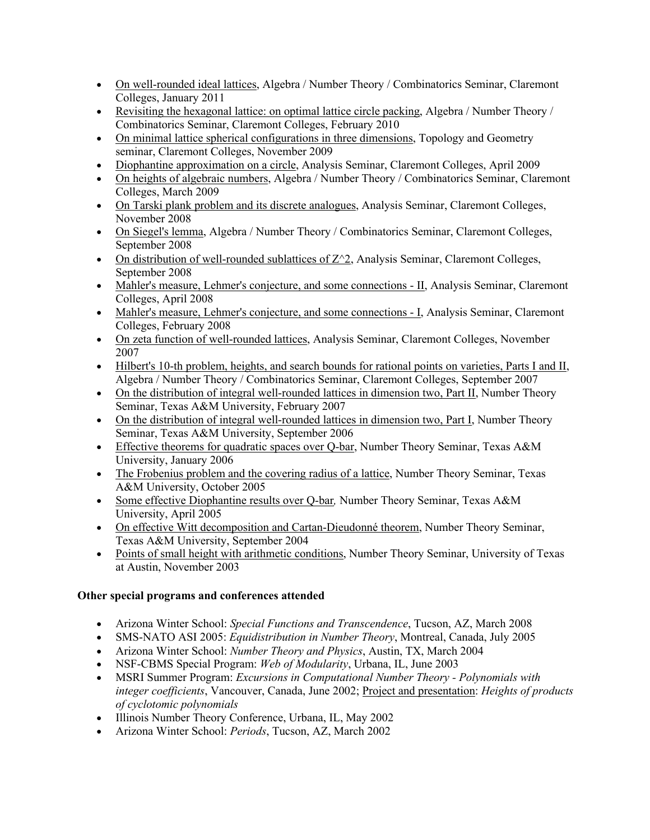- On well-rounded ideal lattices, Algebra / Number Theory / Combinatorics Seminar, Claremont Colleges, January 2011
- Revisiting the hexagonal lattice: on optimal lattice circle packing, Algebra / Number Theory / Combinatorics Seminar, Claremont Colleges, February 2010
- On minimal lattice spherical configurations in three dimensions, Topology and Geometry seminar, Claremont Colleges, November 2009
- Diophantine approximation on a circle, Analysis Seminar, Claremont Colleges, April 2009
- On heights of algebraic numbers, Algebra / Number Theory / Combinatorics Seminar, Claremont Colleges, March 2009
- On Tarski plank problem and its discrete analogues, Analysis Seminar, Claremont Colleges, November 2008
- On Siegel's lemma, Algebra / Number Theory / Combinatorics Seminar, Claremont Colleges, September 2008
- On distribution of well-rounded sublattices of  $Z^2$ , Analysis Seminar, Claremont Colleges, September 2008
- Mahler's measure, Lehmer's conjecture, and some connections II, Analysis Seminar, Claremont Colleges, April 2008
- Mahler's measure, Lehmer's conjecture, and some connections I, Analysis Seminar, Claremont Colleges, February 2008
- On zeta function of well-rounded lattices, Analysis Seminar, Claremont Colleges, November 2007
- Hilbert's 10-th problem, heights, and search bounds for rational points on varieties, Parts I and II, Algebra / Number Theory / Combinatorics Seminar, Claremont Colleges, September 2007
- On the distribution of integral well-rounded lattices in dimension two, Part II, Number Theory Seminar, Texas A&M University, February 2007
- On the distribution of integral well-rounded lattices in dimension two, Part I, Number Theory Seminar, Texas A&M University, September 2006
- Effective theorems for quadratic spaces over O-bar, Number Theory Seminar, Texas A&M University, January 2006
- The Frobenius problem and the covering radius of a lattice, Number Theory Seminar, Texas A&M University, October 2005
- Some effective Diophantine results over Q-bar*,* Number Theory Seminar, Texas A&M University, April 2005
- On effective Witt decomposition and Cartan-Dieudonné theorem, Number Theory Seminar, Texas A&M University, September 2004
- Points of small height with arithmetic conditions, Number Theory Seminar, University of Texas at Austin, November 2003

# **Other special programs and conferences attended**

- Arizona Winter School: *Special Functions and Transcendence*, Tucson, AZ, March 2008
- SMS-NATO ASI 2005: *Equidistribution in Number Theory*, Montreal, Canada, July 2005
- Arizona Winter School: *Number Theory and Physics*, Austin, TX, March 2004
- NSF-CBMS Special Program: *Web of Modularity*, Urbana, IL, June 2003
- MSRI Summer Program: *Excursions in Computational Number Theory - Polynomials with integer coefficients*, Vancouver, Canada, June 2002; Project and presentation: *Heights of products of cyclotomic polynomials*
- Illinois Number Theory Conference, Urbana, IL, May 2002
- Arizona Winter School: *Periods*, Tucson, AZ, March 2002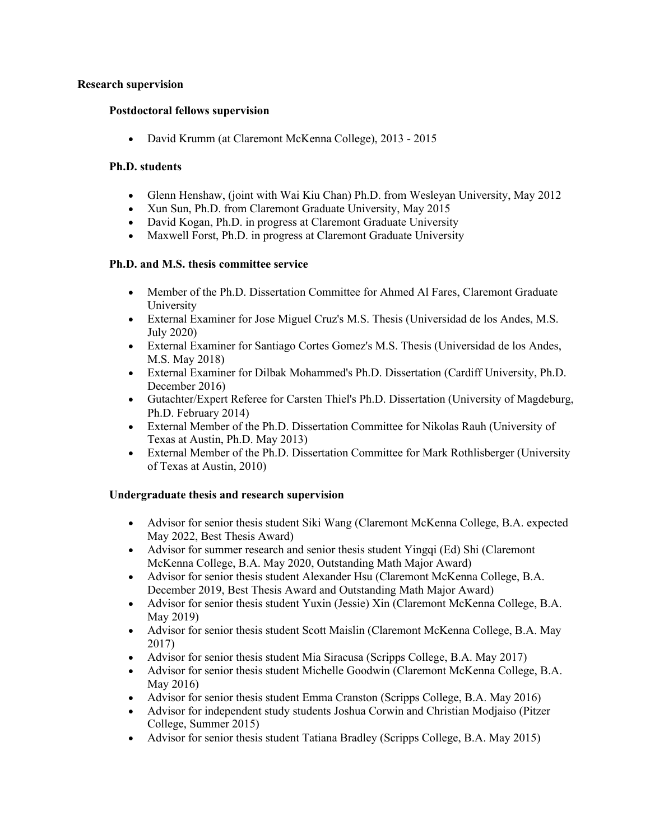# **Research supervision**

# **Postdoctoral fellows supervision**

• David Krumm (at Claremont McKenna College), 2013 - 2015

#### **Ph.D. students**

- Glenn Henshaw, (joint with Wai Kiu Chan) Ph.D. from Wesleyan University, May 2012
- Xun Sun, Ph.D. from Claremont Graduate University, May 2015
- David Kogan, Ph.D. in progress at Claremont Graduate University
- Maxwell Forst, Ph.D. in progress at Claremont Graduate University

# **Ph.D. and M.S. thesis committee service**

- Member of the Ph.D. Dissertation Committee for Ahmed Al Fares, Claremont Graduate University
- External Examiner for Jose Miguel Cruz's M.S. Thesis (Universidad de los Andes, M.S. July 2020)
- External Examiner for Santiago Cortes Gomez's M.S. Thesis (Universidad de los Andes, M.S. May 2018)
- External Examiner for Dilbak Mohammed's Ph.D. Dissertation (Cardiff University, Ph.D. December 2016)
- Gutachter/Expert Referee for Carsten Thiel's Ph.D. Dissertation (University of Magdeburg, Ph.D. February 2014)
- External Member of the Ph.D. Dissertation Committee for Nikolas Rauh (University of Texas at Austin, Ph.D. May 2013)
- External Member of the Ph.D. Dissertation Committee for Mark Rothlisberger (University of Texas at Austin, 2010)

# **Undergraduate thesis and research supervision**

- Advisor for senior thesis student Siki Wang (Claremont McKenna College, B.A. expected May 2022, Best Thesis Award)
- Advisor for summer research and senior thesis student Yingqi (Ed) Shi (Claremont McKenna College, B.A. May 2020, Outstanding Math Major Award)
- Advisor for senior thesis student Alexander Hsu (Claremont McKenna College, B.A. December 2019, Best Thesis Award and Outstanding Math Major Award)
- Advisor for senior thesis student Yuxin (Jessie) Xin (Claremont McKenna College, B.A. May 2019)
- Advisor for senior thesis student Scott Maislin (Claremont McKenna College, B.A. May 2017)
- Advisor for senior thesis student Mia Siracusa (Scripps College, B.A. May 2017)
- Advisor for senior thesis student Michelle Goodwin (Claremont McKenna College, B.A. May 2016)
- Advisor for senior thesis student Emma Cranston (Scripps College, B.A. May 2016)
- Advisor for independent study students Joshua Corwin and Christian Modjaiso (Pitzer College, Summer 2015)
- Advisor for senior thesis student Tatiana Bradley (Scripps College, B.A. May 2015)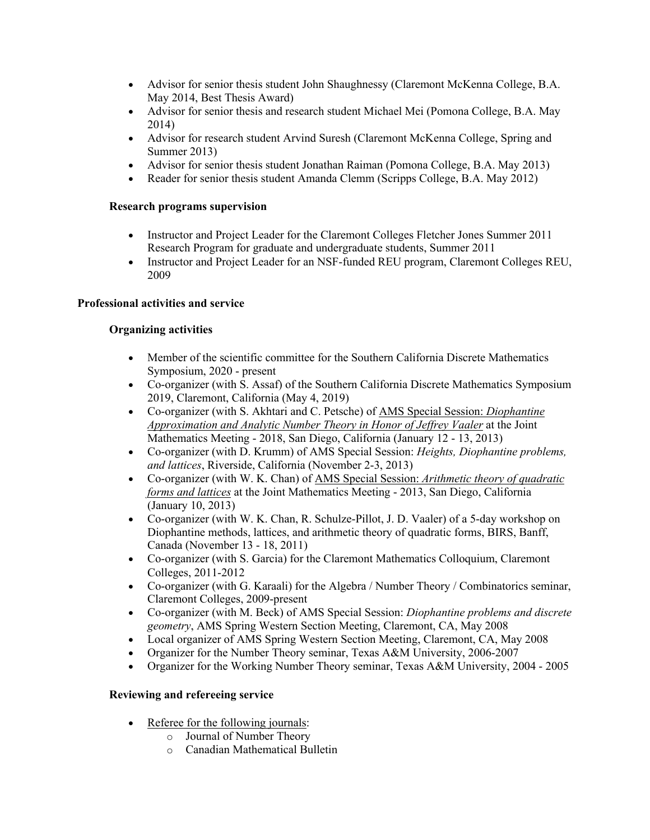- Advisor for senior thesis student John Shaughnessy (Claremont McKenna College, B.A. May 2014, Best Thesis Award)
- Advisor for senior thesis and research student Michael Mei (Pomona College, B.A. May 2014)
- Advisor for research student Arvind Suresh (Claremont McKenna College, Spring and Summer 2013)
- Advisor for senior thesis student Jonathan Raiman (Pomona College, B.A. May 2013)
- Reader for senior thesis student Amanda Clemm (Scripps College, B.A. May 2012)

# **Research programs supervision**

- Instructor and Project Leader for the Claremont Colleges Fletcher Jones Summer 2011 Research Program for graduate and undergraduate students, Summer 2011
- Instructor and Project Leader for an NSF-funded REU program, Claremont Colleges REU, 2009

# **Professional activities and service**

# **Organizing activities**

- Member of the scientific committee for the Southern California Discrete Mathematics Symposium, 2020 - present
- Co-organizer (with S. Assaf) of the Southern California Discrete Mathematics Symposium 2019, Claremont, California (May 4, 2019)
- Co-organizer (with S. Akhtari and C. Petsche) of AMS Special Session: *Diophantine Approximation and Analytic Number Theory in Honor of Jeffrey Vaaler* at the Joint Mathematics Meeting - 2018, San Diego, California (January 12 - 13, 2013)
- Co-organizer (with D. Krumm) of AMS Special Session: *Heights, Diophantine problems, and lattices*, Riverside, California (November 2-3, 2013)
- Co-organizer (with W. K. Chan) of AMS Special Session: *Arithmetic theory of quadratic forms and lattices* at the Joint Mathematics Meeting - 2013, San Diego, California (January 10, 2013)
- Co-organizer (with W. K. Chan, R. Schulze-Pillot, J. D. Vaaler) of a 5-day workshop on Diophantine methods, lattices, and arithmetic theory of quadratic forms, BIRS, Banff, Canada (November 13 - 18, 2011)
- Co-organizer (with S. Garcia) for the Claremont Mathematics Colloquium, Claremont Colleges, 2011-2012
- Co-organizer (with G. Karaali) for the Algebra / Number Theory / Combinatorics seminar, Claremont Colleges, 2009-present
- Co-organizer (with M. Beck) of AMS Special Session: *Diophantine problems and discrete geometry*, AMS Spring Western Section Meeting, Claremont, CA, May 2008
- Local organizer of AMS Spring Western Section Meeting, Claremont, CA, May 2008
- Organizer for the Number Theory seminar, Texas A&M University, 2006-2007
- Organizer for the Working Number Theory seminar, Texas A&M University, 2004 2005

# **Reviewing and refereeing service**

- Referee for the following journals:
	- o Journal of Number Theory
	- o Canadian Mathematical Bulletin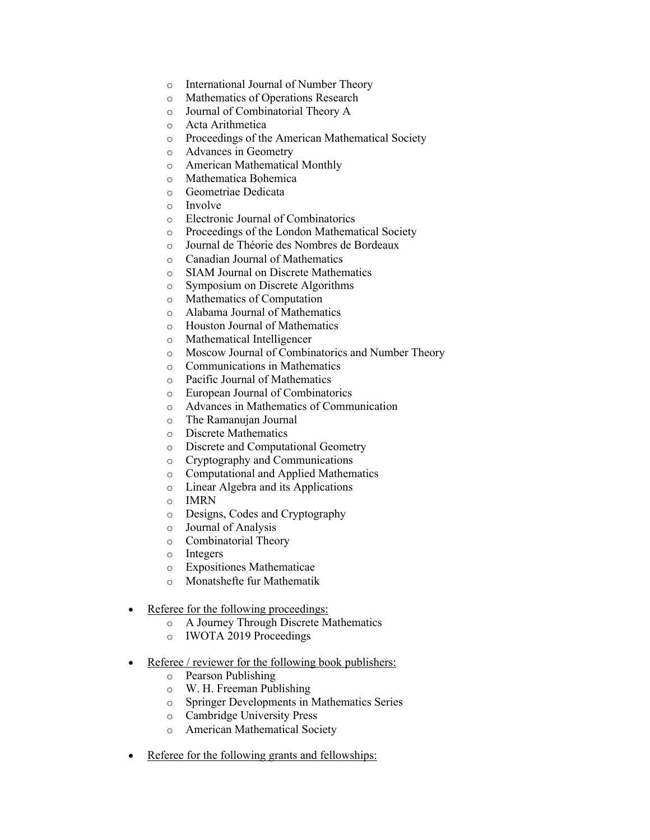- o International Journal of Number Theory
- o Mathematics of Operations Research
- o Journal of Combinatorial Theory A
- o Acta Arithmetica
- o Proceedings of the American Mathematical Society
- o Advances in Geometry
- o American Mathematical Monthly
- o Mathematica Bohemica
- o Geometriae Dedicata
- o Involve
- o Electronic Journal of Combinatorics
- o Proceedings of the London Mathematical Society
- o Journal de Théorie des Nombres de Bordeaux
- o Canadian Journal of Mathematics
- o SIAM Journal on Discrete Mathematics
- o Symposium on Discrete Algorithms
- o Mathematics of Computation
- o Alabama Journal of Mathematics
- o Houston Journal of Mathematics
- o Mathematical Intelligencer
- o Moscow Journal of Combinatorics and Number Theory
- o Communications in Mathematics
- o Pacific Journal of Mathematics
- o European Journal of Combinatorics
- o Advances in Mathematics of Communication
- o The Ramanujan Journal
- o Discrete Mathematics
- o Discrete and Computational Geometry
- o Cryptography and Communications
- o Computational and Applied Mathematics
- o Linear Algebra and its Applications
- o IMRN
- o Designs, Codes and Cryptography
- o Journal of Analysis
- o Combinatorial Theory
- o Integers
- o Expositiones Mathematicae
- o Monatshefte fur Mathematik
- Referee for the following proceedings:
	- o A Journey Through Discrete Mathematics
	- o IWOTA 2019 Proceedings
- Referee / reviewer for the following book publishers:
	- o Pearson Publishing
	- o W. H. Freeman Publishing
	- o Springer Developments in Mathematics Series
	- o Cambridge University Press
	- o American Mathematical Society
- Referee for the following grants and fellowships: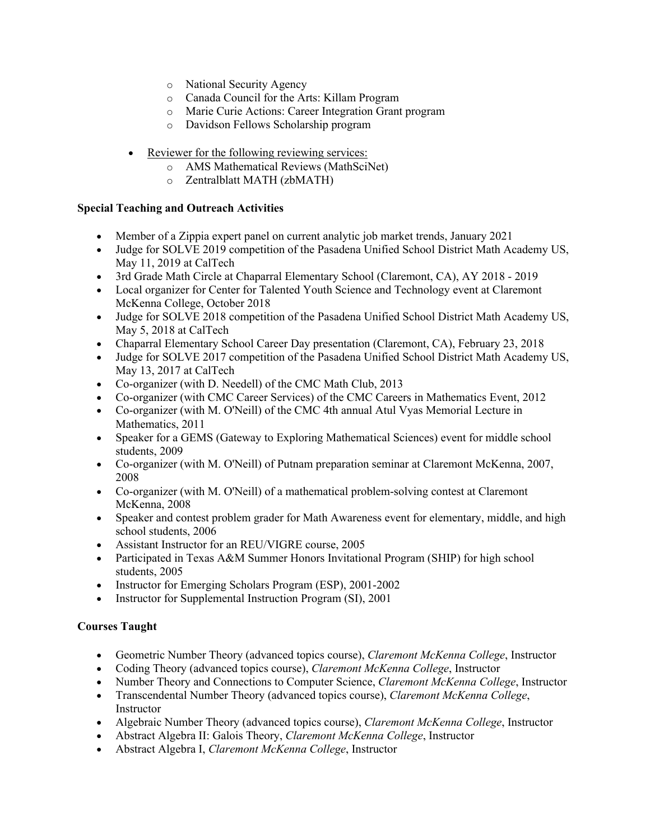- o National Security Agency
- o Canada Council for the Arts: Killam Program
- o Marie Curie Actions: Career Integration Grant program
- o Davidson Fellows Scholarship program
- Reviewer for the following reviewing services:
	- o AMS Mathematical Reviews (MathSciNet)
	- o Zentralblatt MATH (zbMATH)

# **Special Teaching and Outreach Activities**

- Member of a Zippia expert panel on current analytic job market trends, January 2021
- Judge for SOLVE 2019 competition of the Pasadena Unified School District Math Academy US, May 11, 2019 at CalTech
- 3rd Grade Math Circle at Chaparral Elementary School (Claremont, CA), AY 2018 2019
- Local organizer for Center for Talented Youth Science and Technology event at Claremont McKenna College, October 2018
- Judge for SOLVE 2018 competition of the Pasadena Unified School District Math Academy US, May 5, 2018 at CalTech
- Chaparral Elementary School Career Day presentation (Claremont, CA), February 23, 2018
- Judge for SOLVE 2017 competition of the Pasadena Unified School District Math Academy US, May 13, 2017 at CalTech
- Co-organizer (with D. Needell) of the CMC Math Club, 2013
- Co-organizer (with CMC Career Services) of the CMC Careers in Mathematics Event, 2012
- Co-organizer (with M. O'Neill) of the CMC 4th annual Atul Vyas Memorial Lecture in Mathematics, 2011
- Speaker for a GEMS (Gateway to Exploring Mathematical Sciences) event for middle school students, 2009
- Co-organizer (with M. O'Neill) of Putnam preparation seminar at Claremont McKenna, 2007, 2008
- Co-organizer (with M. O'Neill) of a mathematical problem-solving contest at Claremont McKenna, 2008
- Speaker and contest problem grader for Math Awareness event for elementary, middle, and high school students, 2006
- Assistant Instructor for an REU/VIGRE course, 2005
- Participated in Texas A&M Summer Honors Invitational Program (SHIP) for high school students, 2005
- Instructor for Emerging Scholars Program (ESP), 2001-2002
- Instructor for Supplemental Instruction Program (SI), 2001

# **Courses Taught**

- Geometric Number Theory (advanced topics course), *Claremont McKenna College*, Instructor
- Coding Theory (advanced topics course), *Claremont McKenna College*, Instructor
- Number Theory and Connections to Computer Science, *Claremont McKenna College*, Instructor
- Transcendental Number Theory (advanced topics course), *Claremont McKenna College*, Instructor
- Algebraic Number Theory (advanced topics course), *Claremont McKenna College*, Instructor
- Abstract Algebra II: Galois Theory, *Claremont McKenna College*, Instructor
- Abstract Algebra I, *Claremont McKenna College*, Instructor